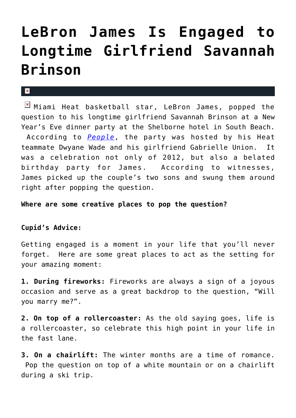## **[LeBron James Is Engaged to](https://cupidspulse.com/24705/miami-heat-basketball-player-lebron-james-engaged-to-longtime-girlfriend-savannah-brinson/) [Longtime Girlfriend Savannah](https://cupidspulse.com/24705/miami-heat-basketball-player-lebron-james-engaged-to-longtime-girlfriend-savannah-brinson/) [Brinson](https://cupidspulse.com/24705/miami-heat-basketball-player-lebron-james-engaged-to-longtime-girlfriend-savannah-brinson/)**

## $\pmb{\times}$

 $\boxed{\times}$  Miami Heat basketball star, LeBron James, popped the question to his longtime girlfriend Savannah Brinson at a New Year's Eve dinner party at the Shelborne hotel in South Beach. According to *[People](http://www.people.com/people/article/0,,20557865,00.html)*, the party was hosted by his Heat teammate Dwyane Wade and his girlfriend Gabrielle Union. It was a celebration not only of 2012, but also a belated birthday party for James. According to witnesses, James picked up the couple's two sons and swung them around right after popping the question.

**Where are some creative places to pop the question?**

## **Cupid's Advice:**

Getting engaged is a moment in your life that you'll never forget. Here are some great places to act as the setting for your amazing moment:

**1. During fireworks:** Fireworks are always a sign of a joyous occasion and serve as a great backdrop to the question, "Will you marry me?".

**2. On top of a rollercoaster:** As the old saying goes, life is a rollercoaster, so celebrate this high point in your life in the fast lane.

**3. On a chairlift:** The winter months are a time of romance. Pop the question on top of a white mountain or on a chairlift during a ski trip.